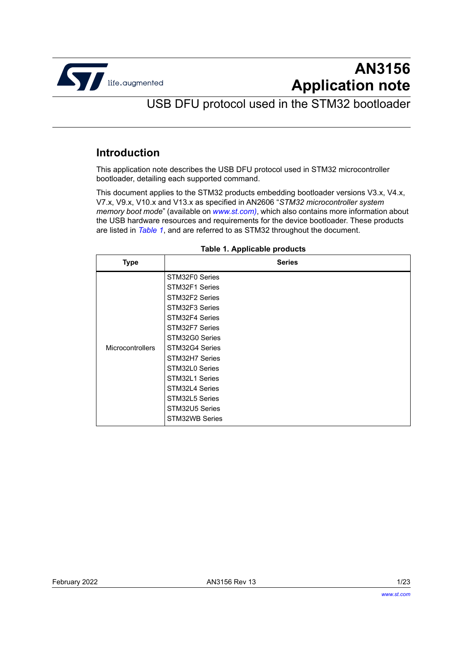

# **AN3156 Application note**

USB DFU protocol used in the STM32 bootloader

### <span id="page-0-2"></span>**Introduction**

This application note describes the USB DFU protocol used in STM32 microcontroller bootloader, detailing each supported command.

This document applies to the STM32 products embedding bootloader versions V3.x, V4.x, V7.x, V9.x, V10.x and V13.x as specified in AN2606 "*STM32 microcontroller system memory boot mode*" (available on *www.st.com)*, which also contains more information about the USB hardware resources and requirements for the device bootloader. These products are listed in *[Table 1](#page-0-0)*, and are referred to as STM32 throughout the document.

<span id="page-0-0"></span>

| <b>Type</b>             | <b>Series</b>                                                                                                                                                                    |
|-------------------------|----------------------------------------------------------------------------------------------------------------------------------------------------------------------------------|
| <b>Microcontrollers</b> | STM32F0 Series<br>STM32F1 Series<br>STM32F2 Series<br>STM32F3 Series<br>STM32F4 Series<br>STM32F7 Series<br>STM32G0 Series<br>STM32G4 Series<br>STM32H7 Series<br>STM32L0 Series |
|                         | STM32L1 Series<br>STM32L4 Series<br>STM32L5 Series<br>STM32U5 Series<br>STM32WB Series                                                                                           |

#### <span id="page-0-1"></span>**Table 1. Applicable products**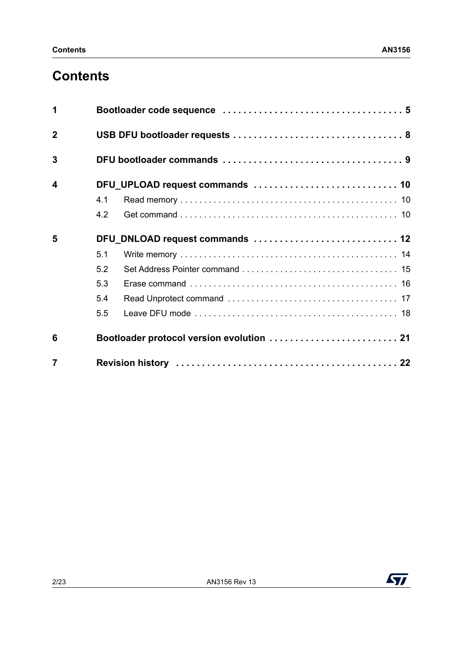# **Contents**

| 1                |     |                                           |  |
|------------------|-----|-------------------------------------------|--|
| $\overline{2}$   |     |                                           |  |
| 3                |     |                                           |  |
| $\boldsymbol{4}$ |     |                                           |  |
|                  | 4.1 |                                           |  |
|                  | 4.2 |                                           |  |
| 5                |     | DFU_DNLOAD request commands  12           |  |
|                  | 5.1 |                                           |  |
|                  | 5.2 |                                           |  |
|                  | 5.3 |                                           |  |
|                  | 5.4 |                                           |  |
|                  | 5.5 |                                           |  |
| 6                |     | Bootloader protocol version evolution  21 |  |
| $\overline{7}$   |     |                                           |  |

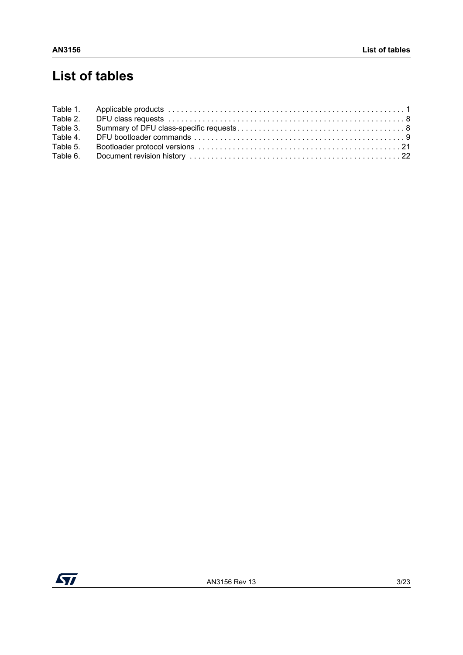# **List of tables**

| Table 2. |  |
|----------|--|
| Table 3. |  |
| Table 4. |  |
| Table 5. |  |
| Table 6. |  |

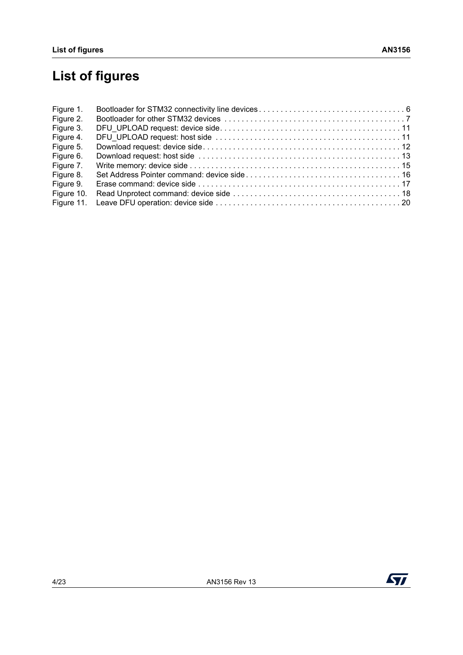# **List of figures**

| Figure 1.  |  |
|------------|--|
| Figure 2.  |  |
| Figure 3.  |  |
| Figure 4.  |  |
| Figure 5.  |  |
| Figure 6.  |  |
| Figure 7.  |  |
| Figure 8.  |  |
| Figure 9.  |  |
| Figure 10. |  |
| Figure 11. |  |

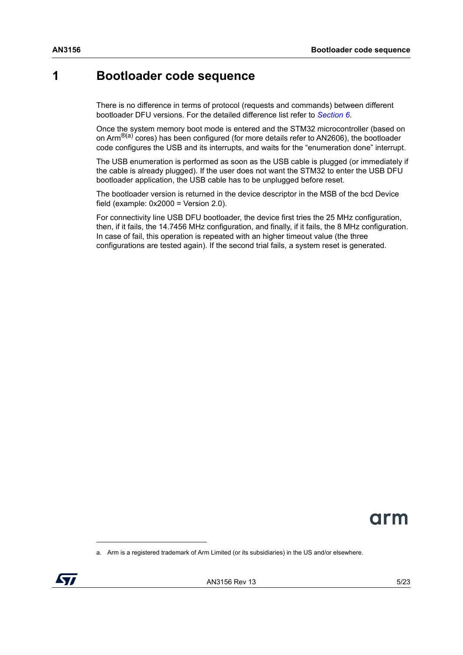## <span id="page-4-0"></span>**1 Bootloader code sequence**

There is no difference in terms of protocol (requests and commands) between different bootloader DFU versions. For the detailed difference list refer to *[Section 6](#page-20-0)*.

Once the system memory boot mode is entered and the STM32 microcontroller (based on on Arm<sup>®(a)</sup> cores) has been configured (for more details refer to AN2606), the bootloader code configures the USB and its interrupts, and waits for the "enumeration done" interrupt.

The USB enumeration is performed as soon as the USB cable is plugged (or immediately if the cable is already plugged). If the user does not want the STM32 to enter the USB DFU bootloader application, the USB cable has to be unplugged before reset.

The bootloader version is returned in the device descriptor in the MSB of the bcd Device field (example:  $0x2000 = V$ ersion 2.0).

For connectivity line USB DFU bootloader, the device first tries the 25 MHz configuration, then, if it fails, the 14.7456 MHz configuration, and finally, if it fails, the 8 MHz configuration. In case of fail, this operation is repeated with an higher timeout value (the three configurations are tested again). If the second trial fails, a system reset is generated.



a. Arm is a registered trademark of Arm Limited (or its subsidiaries) in the US and/or elsewhere.

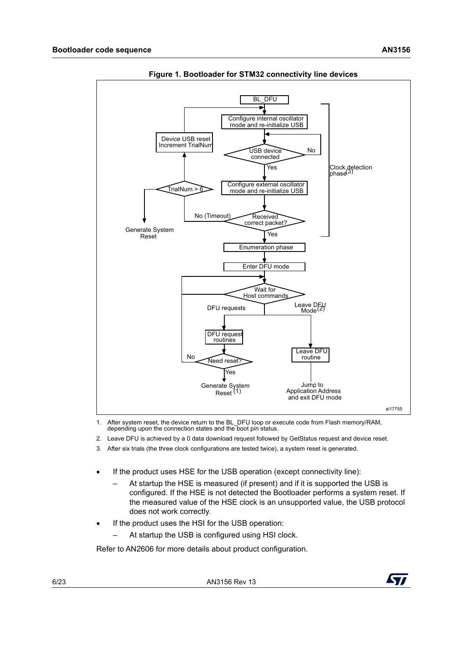<span id="page-5-0"></span>

**Figure 1. Bootloader for STM32 connectivity line devices**

1. After system reset, the device return to the BL\_DFU loop or execute code from Flash memory/RAM, depending upon the connection states and the boot pin status.

- 2. Leave DFU is achieved by a 0 data download request followed by GetStatus request and device reset.
- 3. After six trials (the three clock configurations are tested twice), a system reset is generated.
- If the product uses HSE for the USB operation (except connectivity line):
	- At startup the HSE is measured (if present) and if it is supported the USB is configured. If the HSE is not detected the Bootloader performs a system reset. If the measured value of the HSE clock is an unsupported value, the USB protocol does not work correctly.
- If the product uses the HSI for the USB operation:
	- At startup the USB is configured using HSI clock.

Refer to AN2606 for more details about product configuration.



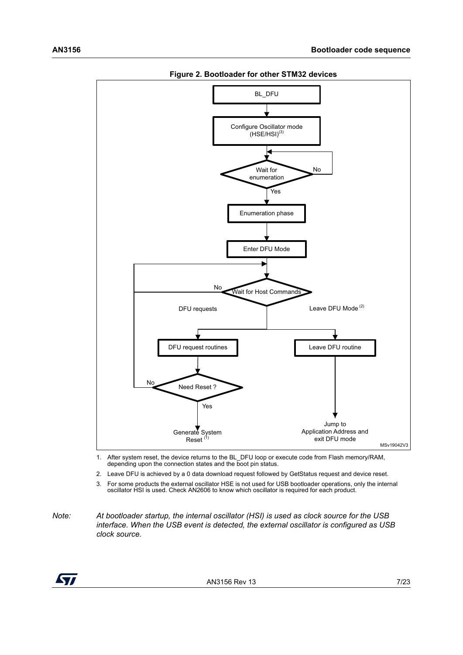<span id="page-6-0"></span>

**Figure 2. Bootloader for other STM32 devices**

1. After system reset, the device returns to the BL\_DFU loop or execute code from Flash memory/RAM, depending upon the connection states and the boot pin status.

2. Leave DFU is achieved by a 0 data download request followed by GetStatus request and device reset.

<span id="page-6-1"></span>3. For some products the external oscillator HSE is not used for USB bootloader operations, only the internal oscillator HSI is used. Check AN2606 to know which oscillator is required for each product.

*Note: At bootloader startup, the internal oscillator (HSI) is used as clock source for the USB interface. When the USB event is detected, the external oscillator is configured as USB clock source.*

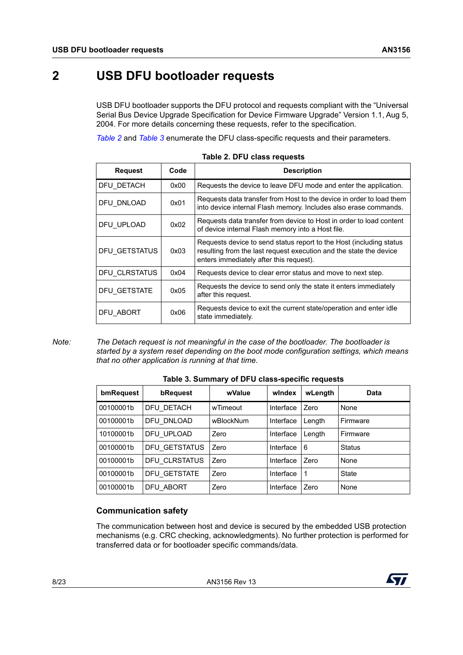## <span id="page-7-0"></span>**2 USB DFU bootloader requests**

USB DFU bootloader supports the DFU protocol and requests compliant with the "Universal Serial Bus Device Upgrade Specification for Device Firmware Upgrade" Version 1.1, Aug 5, 2004. For more details concerning these requests, refer to the specification.

*[Table 2](#page-7-1)* and *[Table 3](#page-7-2)* enumerate the DFU class-specific requests and their parameters.

<span id="page-7-1"></span>

| <b>Request</b> | Code | <b>Description</b>                                                                                                                                                                   |
|----------------|------|--------------------------------------------------------------------------------------------------------------------------------------------------------------------------------------|
| DFU DETACH     | 0x00 | Requests the device to leave DFU mode and enter the application.                                                                                                                     |
| DFU DNLOAD     | 0x01 | Requests data transfer from Host to the device in order to load them<br>into device internal Flash memory. Includes also erase commands.                                             |
| DFU UPLOAD     | 0x02 | Requests data transfer from device to Host in order to load content<br>of device internal Flash memory into a Host file.                                                             |
| DFU GETSTATUS  | 0x03 | Requests device to send status report to the Host (including status<br>resulting from the last request execution and the state the device<br>enters immediately after this request). |
| DFU CLRSTATUS  | 0x04 | Requests device to clear error status and move to next step.                                                                                                                         |
| DFU GETSTATE   | 0x05 | Requests the device to send only the state it enters immediately<br>after this request.                                                                                              |
| DFU ABORT      | 0x06 | Requests device to exit the current state/operation and enter idle<br>state immediately.                                                                                             |

| Table 2. DFU class requests |  |  |  |  |
|-----------------------------|--|--|--|--|
|-----------------------------|--|--|--|--|

*Note: The Detach request is not meaningful in the case of the bootloader. The bootloader is started by a system reset depending on the boot mode configuration settings, which means that no other application is running at that time.*

<span id="page-7-2"></span>

| bmRequest | bRequest      | wValue    | windex    | wLength  | <b>Data</b>   |
|-----------|---------------|-----------|-----------|----------|---------------|
| 00100001b | DFU DETACH    | wTimeout  | Interface | Zero     | None          |
| 00100001b | DFU DNLOAD    | wBlockNum | Interface | Length   | Firmware      |
| 10100001b | DFU UPLOAD    | Zero      | Interface | Length   | Firmware      |
| 00100001b | DFU GETSTATUS | Zero      | Interface | <b>6</b> | <b>Status</b> |
| 00100001b | DFU CLRSTATUS | Zero      | Interface | Zero     | None          |
| 00100001b | DFU GETSTATE  | Zero      | Interface | -1       | <b>State</b>  |
| 00100001b | DFU ABORT     | Zero      | Interface | Zero     | None          |

#### **Table 3. Summary of DFU class-specific requests**

#### **Communication safety**

The communication between host and device is secured by the embedded USB protection mechanisms (e.g. CRC checking, acknowledgments). No further protection is performed for transferred data or for bootloader specific commands/data.

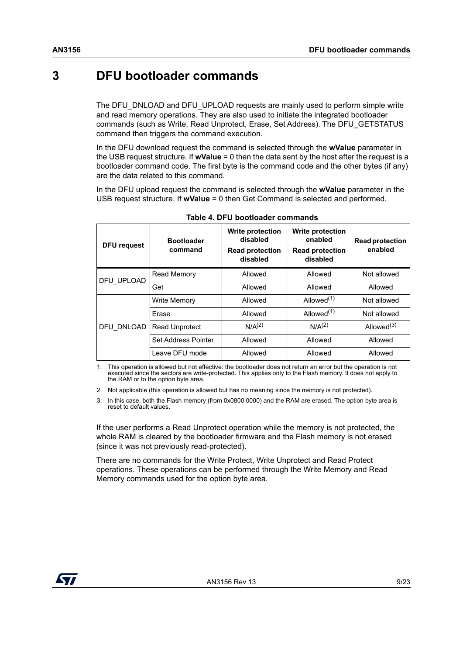# <span id="page-8-0"></span>**3 DFU bootloader commands**

The DFU\_DNLOAD and DFU\_UPLOAD requests are mainly used to perform simple write and read memory operations. They are also used to initiate the integrated bootloader commands (such as Write, Read Unprotect, Erase, Set Address). The DFU\_GETSTATUS command then triggers the command execution.

In the DFU download request the command is selected through the **wValue** parameter in the USB request structure. If **wValue** = 0 then the data sent by the host after the request is a bootloader command code. The first byte is the command code and the other bytes (if any) are the data related to this command.

In the DFU upload request the command is selected through the **wValue** parameter in the USB request structure. If **wValue** = 0 then Get Command is selected and performed.

<span id="page-8-1"></span>

| <b>DFU request</b> | <b>Bootloader</b><br>command | <b>Write protection</b><br>disabled<br><b>Read protection</b><br>disabled | <b>Write protection</b><br>enabled<br><b>Read protection</b><br>disabled | <b>Read protection</b><br>enabled |
|--------------------|------------------------------|---------------------------------------------------------------------------|--------------------------------------------------------------------------|-----------------------------------|
| DFU UPLOAD         | Read Memory                  | Allowed                                                                   | Allowed                                                                  | Not allowed                       |
|                    | Get                          | Allowed                                                                   | Allowed                                                                  | Allowed                           |
| DFU DNLOAD         | <b>Write Memory</b>          | Allowed                                                                   | Allowed <sup>(1)</sup>                                                   | Not allowed                       |
|                    | Erase                        | Allowed                                                                   | Allowed <sup>(1)</sup>                                                   | Not allowed                       |
|                    | <b>Read Unprotect</b>        | $N/A^{(2)}$                                                               | $N/A^{(2)}$                                                              | Allowed <sup>(3)</sup>            |
|                    | Set Address Pointer          | Allowed                                                                   | Allowed                                                                  | Allowed                           |
|                    | Leave DFU mode               | Allowed                                                                   | Allowed                                                                  | Allowed                           |

1. This operation is allowed but not effective: the bootloader does not return an error but the operation is not executed since the sectors are write-protected. This applies only to the Flash memory. It does not apply to the RAM or to the option byte area.

2. Not applicable (this operation is allowed but has no meaning since the memory is not protected).

3. In this case, both the Flash memory (from 0x0800 0000) and the RAM are erased. The option byte area is reset to default values.

If the user performs a Read Unprotect operation while the memory is not protected, the whole RAM is cleared by the bootloader firmware and the Flash memory is not erased (since it was not previously read-protected).

There are no commands for the Write Protect, Write Unprotect and Read Protect operations. These operations can be performed through the Write Memory and Read Memory commands used for the option byte area.

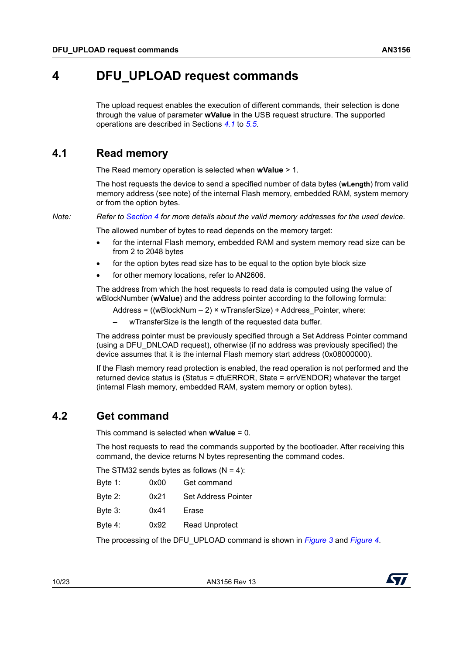# <span id="page-9-0"></span>**4 DFU\_UPLOAD request commands**

The upload request enables the execution of different commands, their selection is done through the value of parameter **wValue** in the USB request structure. The supported operations are described in Sections *[4.1](#page-9-1)* to *[5.5](#page-17-0)*.

### <span id="page-9-1"></span>**4.1 Read memory**

The Read memory operation is selected when **wValue** > 1.

The host requests the device to send a specified number of data bytes (**wLength**) from valid memory address (see note) of the internal Flash memory, embedded RAM, system memory or from the option bytes.

*Note: Refer to [Section](#page-9-0) 4 for more details about the valid memory addresses for the used device.*

The allowed number of bytes to read depends on the memory target:

- for the internal Flash memory, embedded RAM and system memory read size can be from 2 to 2048 bytes
- for the option bytes read size has to be equal to the option byte block size
- for other memory locations, refer to AN2606.

The address from which the host requests to read data is computed using the value of wBlockNumber (**wValue**) and the address pointer according to the following formula:

- Address =  $((wBlockNum 2) \times wTransferSize) + Address$  Pointer, where:
- wTransferSize is the length of the requested data buffer.

The address pointer must be previously specified through a Set Address Pointer command (using a DFU\_DNLOAD request), otherwise (if no address was previously specified) the device assumes that it is the internal Flash memory start address (0x08000000).

If the Flash memory read protection is enabled, the read operation is not performed and the returned device status is (Status = dfuERROR, State = errVENDOR) whatever the target (internal Flash memory, embedded RAM, system memory or option bytes).

### <span id="page-9-2"></span>**4.2 Get command**

This command is selected when **wValue** = 0.

The host requests to read the commands supported by the bootloader. After receiving this command, the device returns N bytes representing the command codes.

The STM32 sends bytes as follows  $(N = 4)$ :

| Byte $1$ : | 0x00 | Get command           |
|------------|------|-----------------------|
| Byte $2$ : | 0x21 | Set Address Pointer   |
| Byte $3:$  | 0x41 | Erase                 |
| Byte $4$ : | 0x92 | <b>Read Unprotect</b> |

The processing of the DFU\_UPLOAD command is shown in *[Figure 3](#page-10-0)* and *[Figure 4](#page-10-1)*.

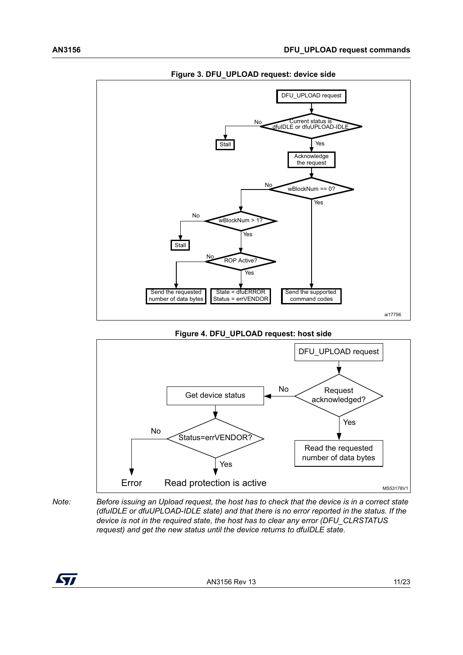<span id="page-10-0"></span>

**Figure 3. DFU\_UPLOAD request: device side**

#### **Figure 4. DFU\_UPLOAD request: host side**

<span id="page-10-1"></span>

*Note: Before issuing an Upload request, the host has to check that the device is in a correct state (dfuIDLE or dfuUPLOAD-IDLE state) and that there is no error reported in the status. If the device is not in the required state, the host has to clear any error (DFU\_CLRSTATUS request) and get the new status until the device returns to dfuIDLE state.*

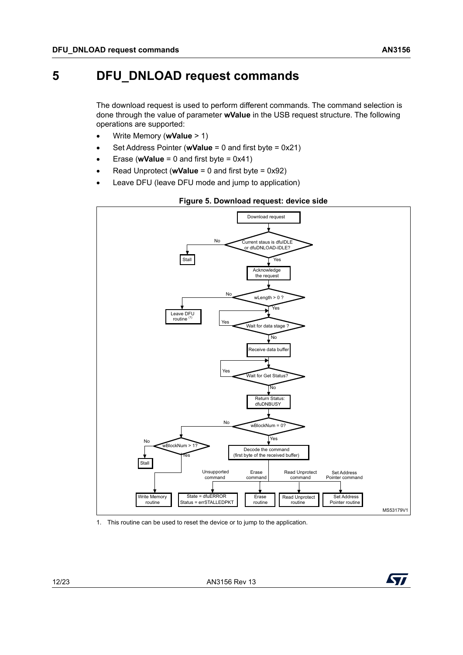# <span id="page-11-0"></span>**5 DFU\_DNLOAD request commands**

The download request is used to perform different commands. The command selection is done through the value of parameter **wValue** in the USB request structure. The following operations are supported:

- Write Memory (**wValue** > 1)
- Set Address Pointer (**wValue** = 0 and first byte = 0x21)
- Erase (**wValue** = 0 and first byte = 0x41)
- Read Unprotect (**wValue** = 0 and first byte = 0x92)
- Leave DFU (leave DFU mode and jump to application)

<span id="page-11-1"></span>

#### **Figure 5. Download request: device side**

1. This routine can be used to reset the device or to jump to the application.

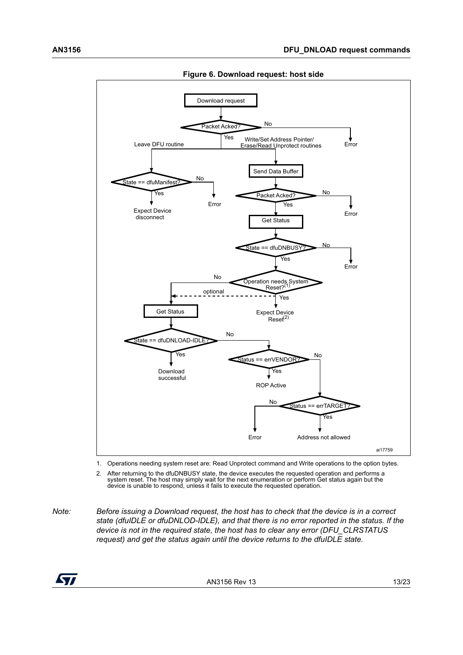<span id="page-12-0"></span>

**Figure 6. Download request: host side**

1. Operations needing system reset are: Read Unprotect command and Write operations to the option bytes.

2. After returning to the dfuDNBUSY state, the device executes the requested operation and performs a system reset. The host may simply wait for the next enumeration or perform Get status again but the device is unable to respond, unless it fails to execute the requested operation.

*Note: Before issuing a Download request, the host has to check that the device is in a correct state (dfuIDLE or dfuDNLOD-IDLE), and that there is no error reported in the status. If the device is not in the required state, the host has to clear any error (DFU\_CLRSTATUS request) and get the status again until the device returns to the dfuIDLE state.*

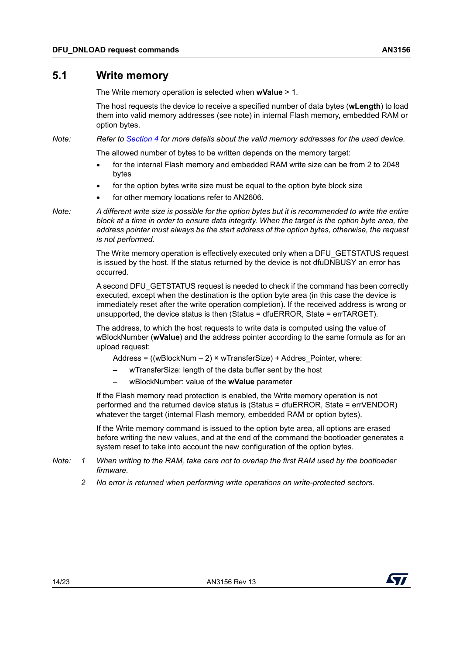### <span id="page-13-0"></span>**5.1 Write memory**

The Write memory operation is selected when **wValue** > 1.

The host requests the device to receive a specified number of data bytes (**wLength**) to load them into valid memory addresses (see note) in internal Flash memory, embedded RAM or option bytes.

*Note: Refer to [Section](#page-9-0) 4 for more details about the valid memory addresses for the used device.*

The allowed number of bytes to be written depends on the memory target:

- for the internal Flash memory and embedded RAM write size can be from 2 to 2048 bytes
- for the option bytes write size must be equal to the option byte block size
- for other memory locations refer to AN2606.

*Note: A different write size is possible for the option bytes but it is recommended to write the entire block at a time in order to ensure data integrity. When the target is the option byte area, the address pointer must always be the start address of the option bytes, otherwise, the request is not performed.*

> The Write memory operation is effectively executed only when a DFU\_GETSTATUS request is issued by the host. If the status returned by the device is not dfuDNBUSY an error has occurred.

> A second DFU\_GETSTATUS request is needed to check if the command has been correctly executed, except when the destination is the option byte area (in this case the device is immediately reset after the write operation completion). If the received address is wrong or unsupported, the device status is then (Status = dfuERROR, State = errTARGET).

The address, to which the host requests to write data is computed using the value of wBlockNumber (**wValue**) and the address pointer according to the same formula as for an upload request:

Address =  $((wBlockNum – 2) \times wTransferSize) + Address$  Pointer, where:

- wTransferSize: length of the data buffer sent by the host
- wBlockNumber: value of the **wValue** parameter

If the Flash memory read protection is enabled, the Write memory operation is not performed and the returned device status is (Status = dfuERROR, State = errVENDOR) whatever the target (internal Flash memory, embedded RAM or option bytes).

If the Write memory command is issued to the option byte area, all options are erased before writing the new values, and at the end of the command the bootloader generates a system reset to take into account the new configuration of the option bytes.

- *Note: 1 When writing to the RAM, take care not to overlap the first RAM used by the bootloader firmware.*
	- *2 No error is returned when performing write operations on write-protected sectors.*

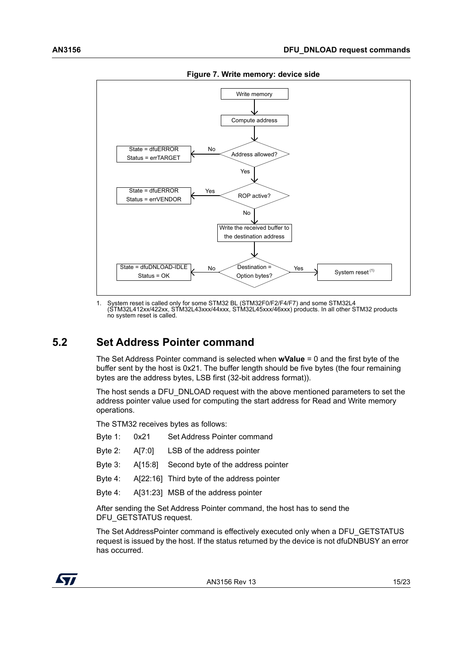<span id="page-14-1"></span>

**Figure 7. Write memory: device side**

1. System reset is called only for some STM32 BL (STM32F0/F2/F4/F7) and some STM32L4 (STM32L412xx/422xx, STM32L43xxx/44xxx, STM32L45xxx/46xxx) products. In all other STM32 products no system reset is called.

## <span id="page-14-0"></span>**5.2 Set Address Pointer command**

The Set Address Pointer command is selected when **wValue** = 0 and the first byte of the buffer sent by the host is 0x21. The buffer length should be five bytes (the four remaining bytes are the address bytes, LSB first (32-bit address format)).

The host sends a DFU\_DNLOAD request with the above mentioned parameters to set the address pointer value used for computing the start address for Read and Write memory operations.

The STM32 receives bytes as follows:

| Byte 1: 0x21 |        | Set Address Pointer command                |
|--------------|--------|--------------------------------------------|
| Byte $2$ :   | A[7:0] | LSB of the address pointer                 |
| Byte $3:$    |        | A[15:8] Second byte of the address pointer |
| Byte 4:      |        | A[22:16] Third byte of the address pointer |
| Byte 4:      |        | A[31:23] MSB of the address pointer        |
|              |        |                                            |

After sending the Set Address Pointer command, the host has to send the DFU\_GETSTATUS request.

The Set AddressPointer command is effectively executed only when a DFU\_GETSTATUS request is issued by the host. If the status returned by the device is not dfuDNBUSY an error has occurred.

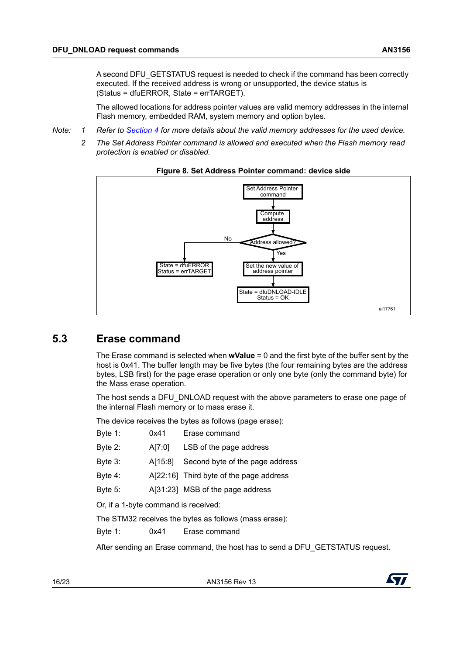The allowed locations for address pointer values are valid memory addresses in the internal Flash memory, embedded RAM, system memory and option bytes.

- *Note: 1 Refer to [Section 4](#page-9-0) for more details about the valid memory addresses for the used device.*
	- *2 The Set Address Pointer command is allowed and executed when the Flash memory read protection is enabled or disabled.*

<span id="page-15-1"></span>

#### **Figure 8. Set Address Pointer command: device side**

### <span id="page-15-0"></span>**5.3 Erase command**

The Erase command is selected when **wValue** = 0 and the first byte of the buffer sent by the host is 0x41. The buffer length may be five bytes (the four remaining bytes are the address bytes, LSB first) for the page erase operation or only one byte (only the command byte) for the Mass erase operation.

The host sends a DFU\_DNLOAD request with the above parameters to erase one page of the internal Flash memory or to mass erase it.

The device receives the bytes as follows (page erase):

| Byte $1$ :                           | 0x41    | Erase command                                         |  |  |  |
|--------------------------------------|---------|-------------------------------------------------------|--|--|--|
| Byte $2$ :                           | A[7:0]  | LSB of the page address                               |  |  |  |
| Byte $3$ :                           | A[15:8] | Second byte of the page address                       |  |  |  |
| Byte 4:                              |         | A[22:16] Third byte of the page address               |  |  |  |
| Byte $5$ :                           |         | A[31:23] MSB of the page address                      |  |  |  |
| Or, if a 1-byte command is received: |         |                                                       |  |  |  |
|                                      |         | The STM32 receives the bytes as follows (mass erase): |  |  |  |
| Byte 1:                              | 0x41    | Erase command                                         |  |  |  |

After sending an Erase command, the host has to send a DFU\_GETSTATUS request.

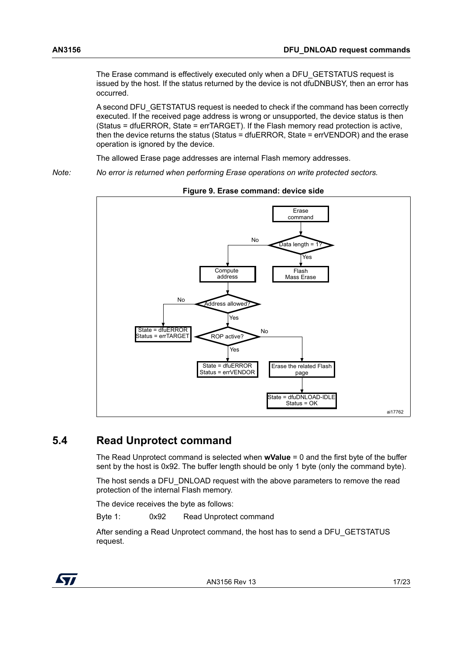The Erase command is effectively executed only when a DFU\_GETSTATUS request is issued by the host. If the status returned by the device is not dfuDNBUSY, then an error has occurred.

A second DFU\_GETSTATUS request is needed to check if the command has been correctly executed. If the received page address is wrong or unsupported, the device status is then (Status = dfuERROR, State = errTARGET). If the Flash memory read protection is active, then the device returns the status (Status = dfuERROR, State = errVENDOR) and the erase operation is ignored by the device.

The allowed Erase page addresses are internal Flash memory addresses.

*Note: No error is returned when performing Erase operations on write protected sectors.*

<span id="page-16-1"></span>

**Figure 9. Erase command: device side**

## <span id="page-16-0"></span>**5.4 Read Unprotect command**

The Read Unprotect command is selected when **wValue** = 0 and the first byte of the buffer sent by the host is 0x92. The buffer length should be only 1 byte (only the command byte).

The host sends a DFU\_DNLOAD request with the above parameters to remove the read protection of the internal Flash memory.

The device receives the byte as follows:

Byte 1: 0x92 Read Unprotect command

After sending a Read Unprotect command, the host has to send a DFU\_GETSTATUS request.

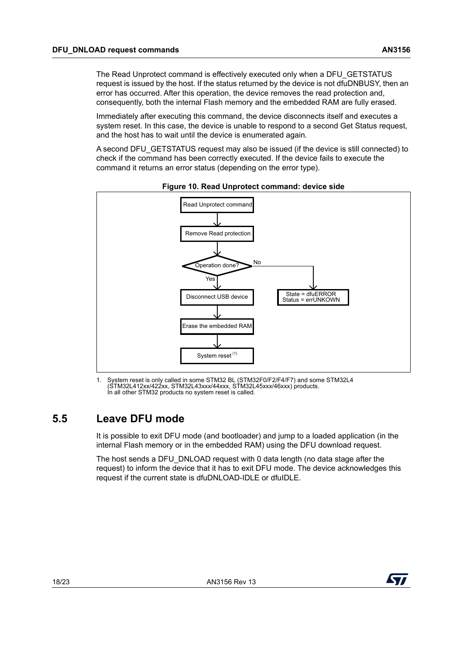The Read Unprotect command is effectively executed only when a DFU\_GETSTATUS request is issued by the host. If the status returned by the device is not dfuDNBUSY, then an error has occurred. After this operation, the device removes the read protection and, consequently, both the internal Flash memory and the embedded RAM are fully erased.

Immediately after executing this command, the device disconnects itself and executes a system reset. In this case, the device is unable to respond to a second Get Status request, and the host has to wait until the device is enumerated again.

A second DFU\_GETSTATUS request may also be issued (if the device is still connected) to check if the command has been correctly executed. If the device fails to execute the command it returns an error status (depending on the error type).

<span id="page-17-1"></span>



1. System reset is only called in some STM32 BL (STM32F0/F2/F4/F7) and some STM32L4 (STM32L412xx/422xx, STM32L43xxx/44xxx, STM32L45xxx/46xxx) products. In all other STM32 products no system reset is called.

## <span id="page-17-0"></span>**5.5 Leave DFU mode**

It is possible to exit DFU mode (and bootloader) and jump to a loaded application (in the internal Flash memory or in the embedded RAM) using the DFU download request.

The host sends a DFU\_DNLOAD request with 0 data length (no data stage after the request) to inform the device that it has to exit DFU mode. The device acknowledges this request if the current state is dfuDNLOAD-IDLE or dfuIDLE.

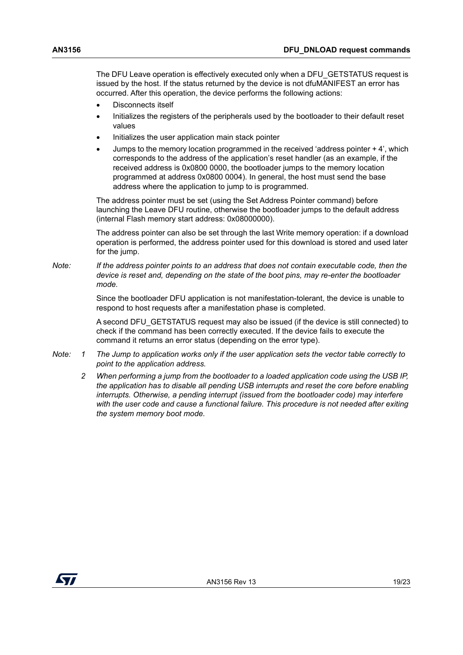The DFU Leave operation is effectively executed only when a DFU\_GETSTATUS request is issued by the host. If the status returned by the device is not dfuMANIFEST an error has occurred. After this operation, the device performs the following actions:

- Disconnects itself
- Initializes the registers of the peripherals used by the bootloader to their default reset values
- Initializes the user application main stack pointer
- Jumps to the memory location programmed in the received 'address pointer + 4', which corresponds to the address of the application's reset handler (as an example, if the received address is 0x0800 0000, the bootloader jumps to the memory location programmed at address 0x0800 0004). In general, the host must send the base address where the application to jump to is programmed.

The address pointer must be set (using the Set Address Pointer command) before launching the Leave DFU routine, otherwise the bootloader jumps to the default address (internal Flash memory start address: 0x08000000).

The address pointer can also be set through the last Write memory operation: if a download operation is performed, the address pointer used for this download is stored and used later for the jump.

*Note: If the address pointer points to an address that does not contain executable code, then the device is reset and, depending on the state of the boot pins, may re-enter the bootloader mode.*

> Since the bootloader DFU application is not manifestation-tolerant, the device is unable to respond to host requests after a manifestation phase is completed.

A second DFU\_GETSTATUS request may also be issued (if the device is still connected) to check if the command has been correctly executed. If the device fails to execute the command it returns an error status (depending on the error type).

- *Note: 1 The Jump to application works only if the user application sets the vector table correctly to point to the application address.*
	- *2 When performing a jump from the bootloader to a loaded application code using the USB IP, the application has to disable all pending USB interrupts and reset the core before enabling interrupts. Otherwise, a pending interrupt (issued from the bootloader code) may interfere with the user code and cause a functional failure. This procedure is not needed after exiting the system memory boot mode.*

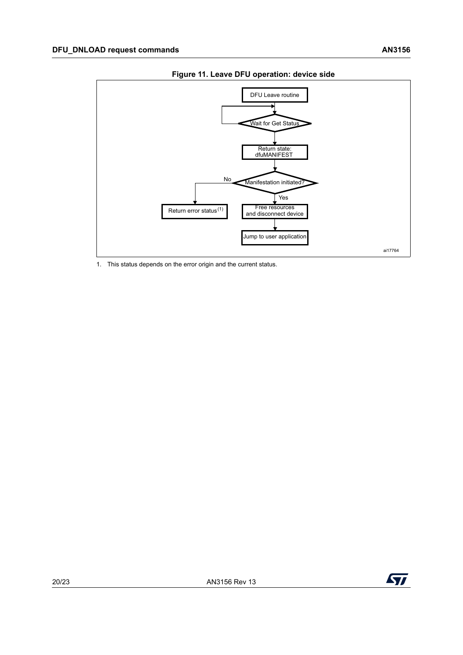<span id="page-19-0"></span>

**Figure 11. Leave DFU operation: device side**

1. This status depends on the error origin and the current status.

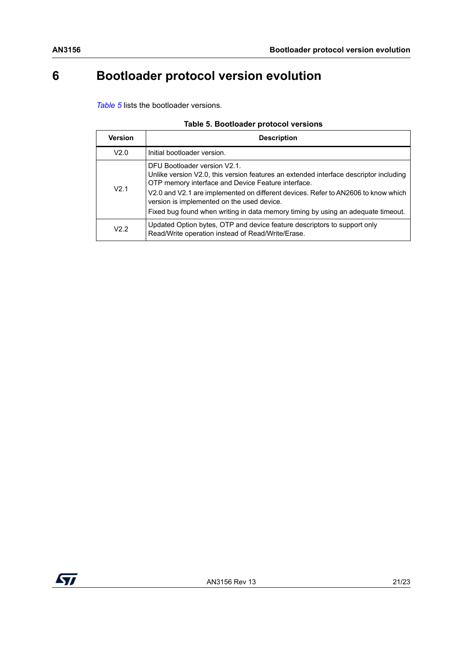# <span id="page-20-0"></span>**6 Bootloader protocol version evolution**

*[Table 5](#page-20-1)* lists the bootloader versions.

|  | Table 5. Bootloader protocol versions |  |  |
|--|---------------------------------------|--|--|
|--|---------------------------------------|--|--|

<span id="page-20-1"></span>

| Version          | <b>Description</b>                                                                                                                                                                                                                                                                                                                                                                                 |  |  |
|------------------|----------------------------------------------------------------------------------------------------------------------------------------------------------------------------------------------------------------------------------------------------------------------------------------------------------------------------------------------------------------------------------------------------|--|--|
| V2.0             | Initial bootloader version.                                                                                                                                                                                                                                                                                                                                                                        |  |  |
| V <sub>2.1</sub> | DFU Bootloader version V2.1.<br>Unlike version V2.0, this version features an extended interface descriptor including<br>OTP memory interface and Device Feature interface.<br>V2.0 and V2.1 are implemented on different devices. Refer to AN2606 to know which<br>version is implemented on the used device.<br>Fixed bug found when writing in data memory timing by using an adequate timeout. |  |  |
| $V2$ 2           | Updated Option bytes, OTP and device feature descriptors to support only<br>Read/Write operation instead of Read/Write/Erase.                                                                                                                                                                                                                                                                      |  |  |

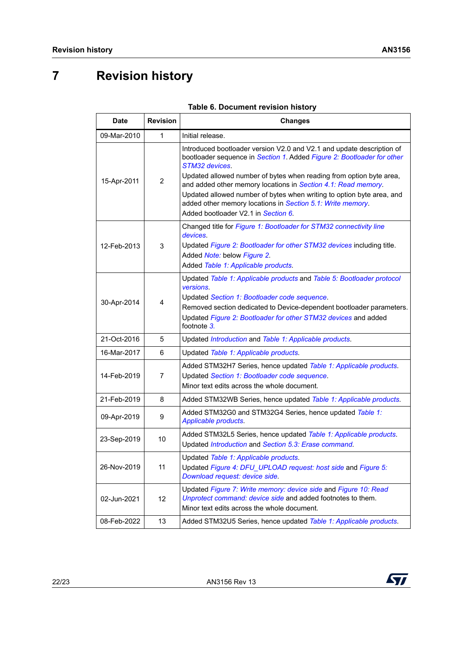# <span id="page-21-0"></span>**7 Revision history**

<span id="page-21-1"></span>

| <b>Date</b> | <b>Revision</b> | <b>Changes</b>                                                                                                                                                                                                                                                                                                                                                                                                                                                                          |  |
|-------------|-----------------|-----------------------------------------------------------------------------------------------------------------------------------------------------------------------------------------------------------------------------------------------------------------------------------------------------------------------------------------------------------------------------------------------------------------------------------------------------------------------------------------|--|
| 09-Mar-2010 | 1               | Initial release.                                                                                                                                                                                                                                                                                                                                                                                                                                                                        |  |
| 15-Apr-2011 | 2               | Introduced bootloader version V2.0 and V2.1 and update description of<br>bootloader sequence in Section 1. Added Figure 2: Bootloader for other<br>STM32 devices.<br>Updated allowed number of bytes when reading from option byte area,<br>and added other memory locations in Section 4.1: Read memory.<br>Updated allowed number of bytes when writing to option byte area, and<br>added other memory locations in Section 5.1: Write memory.<br>Added bootloader V2.1 in Section 6. |  |
| 12-Feb-2013 | 3               | Changed title for Figure 1: Bootloader for STM32 connectivity line<br>devices.<br>Updated Figure 2: Bootloader for other STM32 devices including title.<br>Added Note: below Figure 2.<br>Added Table 1: Applicable products.                                                                                                                                                                                                                                                           |  |
| 30-Apr-2014 | 4               | Updated Table 1: Applicable products and Table 5: Bootloader protocol<br>versions.<br>Updated Section 1: Bootloader code sequence.<br>Removed section dedicated to Device-dependent bootloader parameters.<br>Updated Figure 2: Bootloader for other STM32 devices and added<br>footnote 3.                                                                                                                                                                                             |  |
| 21-Oct-2016 | 5               | Updated Introduction and Table 1: Applicable products.                                                                                                                                                                                                                                                                                                                                                                                                                                  |  |
| 16-Mar-2017 | 6               | Updated Table 1: Applicable products.                                                                                                                                                                                                                                                                                                                                                                                                                                                   |  |
| 14-Feb-2019 | 7               | Added STM32H7 Series, hence updated Table 1: Applicable products.<br>Updated Section 1: Bootloader code sequence.<br>Minor text edits across the whole document.                                                                                                                                                                                                                                                                                                                        |  |
| 21-Feb-2019 | 8               | Added STM32WB Series, hence updated Table 1: Applicable products.                                                                                                                                                                                                                                                                                                                                                                                                                       |  |
| 09-Apr-2019 | 9               | Added STM32G0 and STM32G4 Series, hence updated Table 1:<br>Applicable products.                                                                                                                                                                                                                                                                                                                                                                                                        |  |
| 23-Sep-2019 | 10              | Added STM32L5 Series, hence updated Table 1: Applicable products.<br>Updated Introduction and Section 5.3: Erase command.                                                                                                                                                                                                                                                                                                                                                               |  |
| 26-Nov-2019 | 11              | Updated Table 1: Applicable products.<br>Updated Figure 4: DFU_UPLOAD request: host side and Figure 5:<br>Download request: device side.                                                                                                                                                                                                                                                                                                                                                |  |
| 02-Jun-2021 | 12              | Updated Figure 7: Write memory: device side and Figure 10: Read<br>Unprotect command: device side and added footnotes to them.<br>Minor text edits across the whole document.                                                                                                                                                                                                                                                                                                           |  |
| 08-Feb-2022 | 13              | Added STM32U5 Series, hence updated Table 1: Applicable products.                                                                                                                                                                                                                                                                                                                                                                                                                       |  |

|  | Table 6. Document revision history |  |  |
|--|------------------------------------|--|--|
|--|------------------------------------|--|--|